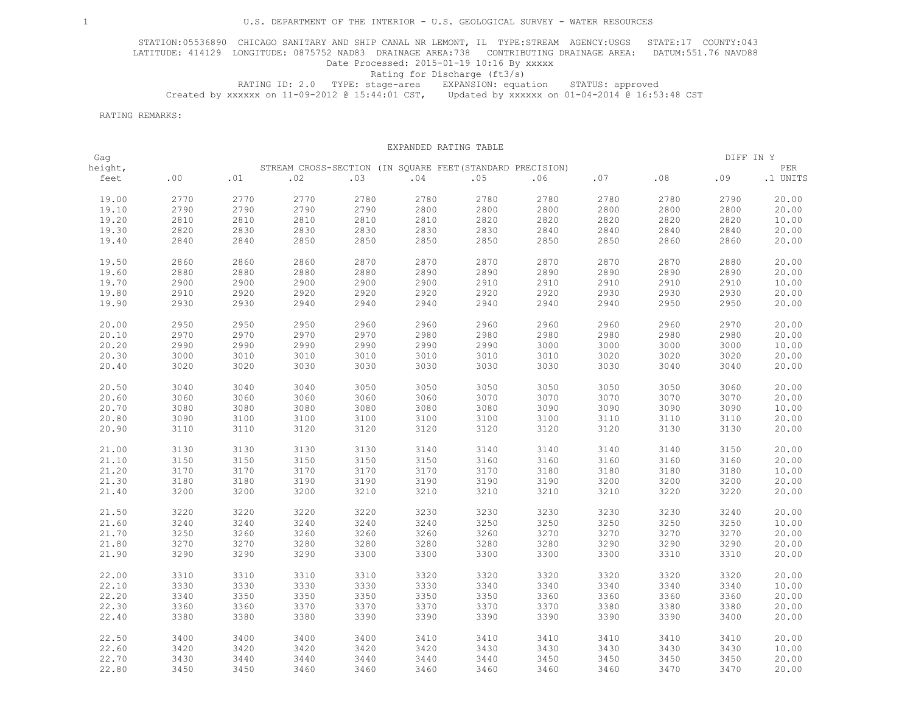STATION:05536890 CHICAGO SANITARY AND SHIP CANAL NR LEMONT, IL TYPE:STREAM AGENCY:USGS STATE:17 COUNTY:043 LATITUDE: 414129 LONGITUDE: 0875752 NAD83 DRAINAGE AREA:738 CONTRIBUTING DRAINAGE AREA: DATUM:551.76 NAVD88 Date Processed: 2015-01-19 10:16 By xxxxx

## Rating for Discharge (ft3/s)

 RATING ID: 2.0 TYPE: stage-area EXPANSION: equation STATUS: approved Created by xxxxxx on 11-09-2012 @ 15:44:01 CST, Updated by xxxxxx on 01-04-2014 @ 16:53:48 CST

RATING REMARKS:

|         |              |              |                                                           |      | EXPANDED RATING TABLE |      |              |              |              |           |          |
|---------|--------------|--------------|-----------------------------------------------------------|------|-----------------------|------|--------------|--------------|--------------|-----------|----------|
| Gag     |              |              |                                                           |      |                       |      |              |              |              | DIFF IN Y |          |
| height, |              |              | STREAM CROSS-SECTION (IN SQUARE FEET (STANDARD PRECISION) |      |                       |      |              |              |              |           | PER      |
| feet    | .00          | .01          | .02                                                       | .03  | .04                   | .05  | .06          | .07          | .08          | .09       | .1 UNITS |
| 19.00   | 2770         | 2770         | 2770                                                      | 2780 | 2780                  | 2780 | 2780         | 2780         | 2780         | 2790      | 20.00    |
| 19.10   | 2790         | 2790         | 2790                                                      | 2790 | 2800                  | 2800 | 2800         | 2800         | 2800         | 2800      | 20.00    |
| 19.20   | 2810         | 2810         | 2810                                                      | 2810 | 2810                  | 2820 | 2820         | 2820         | 2820         | 2820      | 10.00    |
| 19.30   | 2820         | 2830         | 2830                                                      | 2830 | 2830                  | 2830 | 2840         | 2840         | 2840         | 2840      | 20.00    |
| 19.40   | 2840         | 2840         | 2850                                                      | 2850 | 2850                  | 2850 | 2850         | 2850         | 2860         | 2860      | 20.00    |
| 19.50   | 2860         | 2860         | 2860                                                      | 2870 | 2870                  | 2870 | 2870         | 2870         | 2870         | 2880      | 20.00    |
| 19.60   | 2880         | 2880         | 2880                                                      | 2880 | 2890                  | 2890 | 2890         | 2890         | 2890         | 2890      | 20.00    |
| 19.70   | 2900         | 2900         | 2900                                                      | 2900 | 2900                  | 2910 | 2910         | 2910         | 2910         | 2910      | 10.00    |
| 19.80   |              |              |                                                           | 2920 | 2920                  | 2920 |              |              |              | 2930      | 20.00    |
| 19.90   | 2910<br>2930 | 2920<br>2930 | 2920<br>2940                                              | 2940 | 2940                  | 2940 | 2920<br>2940 | 2930<br>2940 | 2930<br>2950 | 2950      | 20.00    |
|         |              |              |                                                           |      |                       |      |              |              |              |           |          |
| 20.00   | 2950         | 2950         | 2950                                                      | 2960 | 2960                  | 2960 | 2960         | 2960         | 2960         | 2970      | 20.00    |
| 20.10   | 2970         | 2970         | 2970                                                      | 2970 | 2980                  | 2980 | 2980         | 2980         | 2980         | 2980      | 20.00    |
| 20.20   | 2990         | 2990         | 2990                                                      | 2990 | 2990                  | 2990 | 3000         | 3000         | 3000         | 3000      | 10.00    |
| 20.30   | 3000         | 3010         | 3010                                                      | 3010 | 3010                  | 3010 | 3010         | 3020         | 3020         | 3020      | 20.00    |
| 20.40   | 3020         | 3020         | 3030                                                      | 3030 | 3030                  | 3030 | 3030         | 3030         | 3040         | 3040      | 20.00    |
| 20.50   | 3040         | 3040         | 3040                                                      | 3050 | 3050                  | 3050 | 3050         | 3050         | 3050         | 3060      | 20.00    |
| 20.60   | 3060         | 3060         | 3060                                                      | 3060 | 3060                  | 3070 | 3070         | 3070         | 3070         | 3070      | 20.00    |
| 20.70   | 3080         | 3080         | 3080                                                      | 3080 | 3080                  | 3080 | 3090         | 3090         | 3090         | 3090      | 10.00    |
| 20.80   | 3090         | 3100         | 3100                                                      | 3100 | 3100                  | 3100 | 3100         | 3110         | 3110         | 3110      | 20.00    |
| 20.90   | 3110         | 3110         | 3120                                                      | 3120 | 3120                  | 3120 | 3120         | 3120         | 3130         | 3130      | 20.00    |
|         |              |              |                                                           |      |                       |      |              |              |              |           |          |
| 21.00   | 3130         | 3130         | 3130                                                      | 3130 | 3140                  | 3140 | 3140         | 3140         | 3140         | 3150      | 20.00    |
| 21.10   | 3150         | 3150         | 3150                                                      | 3150 | 3150                  | 3160 | 3160         | 3160         | 3160         | 3160      | 20.00    |
| 21.20   | 3170         | 3170         | 3170                                                      | 3170 | 3170                  | 3170 | 3180         | 3180         | 3180         | 3180      | 10.00    |
| 21.30   | 3180         | 3180         | 3190                                                      | 3190 | 3190                  | 3190 | 3190         | 3200         | 3200         | 3200      | 20.00    |
| 21.40   | 3200         | 3200         | 3200                                                      | 3210 | 3210                  | 3210 | 3210         | 3210         | 3220         | 3220      | 20.00    |
|         |              |              |                                                           |      |                       |      |              |              |              |           |          |
| 21.50   | 3220         | 3220         | 3220                                                      | 3220 | 3230                  | 3230 | 3230         | 3230         | 3230         | 3240      | 20.00    |
| 21.60   | 3240         | 3240         | 3240                                                      | 3240 | 3240                  | 3250 | 3250         | 3250         | 3250         | 3250      | 10.00    |
| 21.70   | 3250         | 3260         | 3260                                                      | 3260 | 3260                  | 3260 | 3270         | 3270         | 3270         | 3270      | 20.00    |
| 21.80   | 3270         | 3270         | 3280                                                      | 3280 | 3280                  | 3280 | 3280         | 3290         | 3290         | 3290      | 20.00    |
| 21.90   | 3290         | 3290         | 3290                                                      | 3300 | 3300                  | 3300 | 3300         | 3300         | 3310         | 3310      | 20.00    |
| 22.00   | 3310         | 3310         | 3310                                                      | 3310 | 3320                  | 3320 | 3320         | 3320         | 3320         | 3320      | 20.00    |
| 22.10   | 3330         | 3330         | 3330                                                      | 3330 | 3330                  | 3340 | 3340         | 3340         | 3340         | 3340      | 10.00    |
| 22.20   | 3340         | 3350         | 3350                                                      | 3350 | 3350                  | 3350 | 3360         | 3360         | 3360         | 3360      | 20.00    |
| 22.30   | 3360         | 3360         | 3370                                                      | 3370 | 3370                  | 3370 | 3370         | 3380         | 3380         | 3380      | 20.00    |
|         |              |              |                                                           |      |                       |      |              |              |              |           |          |
| 22.40   | 3380         | 3380         | 3380                                                      | 3390 | 3390                  | 3390 | 3390         | 3390         | 3390         | 3400      | 20.00    |
| 22.50   | 3400         | 3400         | 3400                                                      | 3400 | 3410                  | 3410 | 3410         | 3410         | 3410         | 3410      | 20.00    |
| 22.60   | 3420         | 3420         | 3420                                                      | 3420 | 3420                  | 3430 | 3430         | 3430         | 3430         | 3430      | 10.00    |
| 22.70   | 3430         | 3440         | 3440                                                      | 3440 | 3440                  | 3440 | 3450         | 3450         | 3450         | 3450      | 20.00    |
| 22.80   | 3450         | 3450         | 3460                                                      | 3460 | 3460                  | 3460 | 3460         | 3460         | 3470         | 3470      | 20.00    |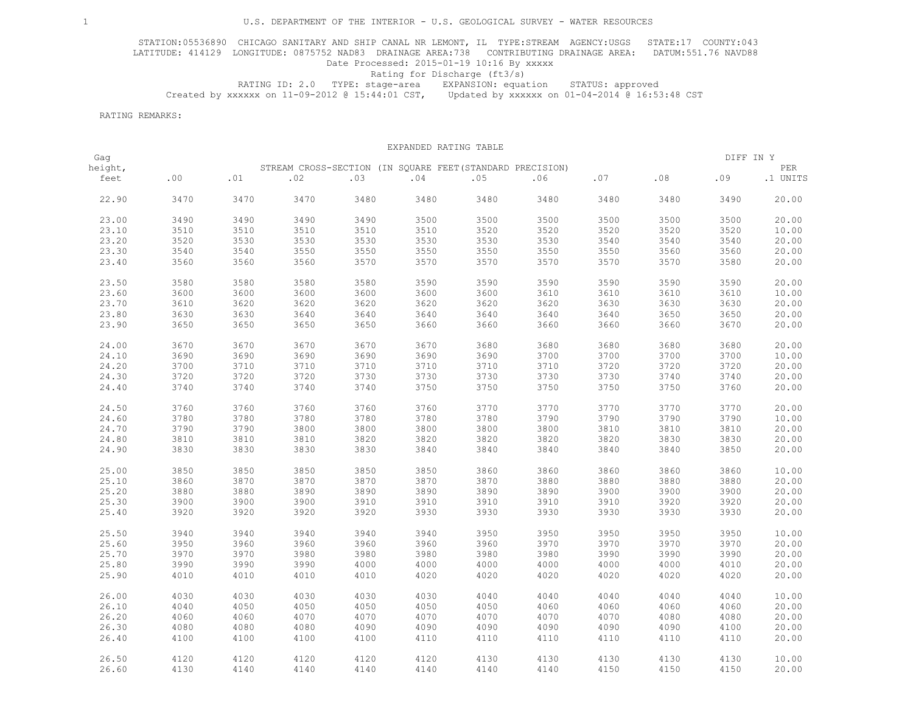STATION:05536890 CHICAGO SANITARY AND SHIP CANAL NR LEMONT, IL TYPE:STREAM AGENCY:USGS STATE:17 COUNTY:043 LATITUDE: 414129 LONGITUDE: 0875752 NAD83 DRAINAGE AREA:738 CONTRIBUTING DRAINAGE AREA: DATUM:551.76 NAVD88 Date Processed: 2015-01-19 10:16 By xxxxx

## Rating for Discharge (ft3/s)

 RATING ID: 2.0 TYPE: stage-area EXPANSION: equation STATUS: approved Created by xxxxxx on 11-09-2012 @ 15:44:01 CST, Updated by xxxxxx on 01-04-2014 @ 16:53:48 CST

RATING REMARKS:

|         |      |      |                                                           |      | EXPANDED RATING TABLE |      |      |      |      |           |             |
|---------|------|------|-----------------------------------------------------------|------|-----------------------|------|------|------|------|-----------|-------------|
| Gag     |      |      |                                                           |      |                       |      |      |      |      | DIFF IN Y |             |
| height, |      |      | STREAM CROSS-SECTION (IN SQUARE FEET (STANDARD PRECISION) |      |                       |      |      |      |      |           | ${\tt PER}$ |
| feet    | .00  | .01  | .02                                                       | .03  | .04                   | .05  | .06  | .07  | .08  | .09       | .1 UNITS    |
| 22.90   | 3470 | 3470 | 3470                                                      | 3480 | 3480                  | 3480 | 3480 | 3480 | 3480 | 3490      | 20.00       |
| 23.00   | 3490 | 3490 | 3490                                                      | 3490 | 3500                  | 3500 | 3500 | 3500 | 3500 | 3500      | 20.00       |
| 23.10   | 3510 | 3510 | 3510                                                      | 3510 | 3510                  | 3520 | 3520 | 3520 | 3520 | 3520      | 10.00       |
| 23.20   | 3520 | 3530 | 3530                                                      | 3530 | 3530                  | 3530 | 3530 | 3540 | 3540 | 3540      | 20.00       |
| 23.30   | 3540 | 3540 | 3550                                                      | 3550 | 3550                  | 3550 | 3550 | 3550 | 3560 | 3560      | 20.00       |
| 23.40   | 3560 | 3560 | 3560                                                      | 3570 | 3570                  | 3570 | 3570 | 3570 | 3570 | 3580      | 20.00       |
| 23.50   | 3580 | 3580 | 3580                                                      | 3580 | 3590                  | 3590 | 3590 | 3590 | 3590 | 3590      | 20.00       |
| 23.60   | 3600 | 3600 | 3600                                                      | 3600 | 3600                  | 3600 | 3610 | 3610 | 3610 | 3610      | 10.00       |
| 23.70   | 3610 | 3620 | 3620                                                      | 3620 | 3620                  | 3620 | 3620 | 3630 | 3630 | 3630      | 20.00       |
| 23.80   | 3630 | 3630 | 3640                                                      | 3640 | 3640                  | 3640 | 3640 | 3640 | 3650 | 3650      | 20.00       |
| 23.90   | 3650 | 3650 | 3650                                                      | 3650 | 3660                  | 3660 | 3660 | 3660 | 3660 | 3670      | 20.00       |
|         |      |      |                                                           |      |                       |      |      |      |      |           |             |
| 24.00   | 3670 | 3670 | 3670                                                      | 3670 | 3670                  | 3680 | 3680 | 3680 | 3680 | 3680      | 20.00       |
| 24.10   | 3690 | 3690 | 3690                                                      | 3690 | 3690                  | 3690 | 3700 | 3700 | 3700 | 3700      | 10.00       |
| 24.20   | 3700 | 3710 | 3710                                                      | 3710 | 3710                  | 3710 | 3710 | 3720 | 3720 | 3720      | 20.00       |
| 24.30   | 3720 | 3720 | 3720                                                      | 3730 | 3730                  | 3730 | 3730 | 3730 | 3740 | 3740      | 20.00       |
| 24.40   | 3740 | 3740 | 3740                                                      | 3740 | 3750                  | 3750 | 3750 | 3750 | 3750 | 3760      | 20.00       |
| 24.50   | 3760 | 3760 | 3760                                                      | 3760 | 3760                  | 3770 | 3770 | 3770 | 3770 | 3770      | 20.00       |
| 24.60   | 3780 | 3780 | 3780                                                      | 3780 | 3780                  | 3780 | 3790 | 3790 | 3790 | 3790      | 10.00       |
| 24.70   | 3790 | 3790 | 3800                                                      | 3800 | 3800                  | 3800 | 3800 | 3810 | 3810 | 3810      | 20.00       |
| 24.80   | 3810 | 3810 | 3810                                                      | 3820 | 3820                  | 3820 | 3820 | 3820 | 3830 | 3830      | 20.00       |
| 24.90   | 3830 | 3830 | 3830                                                      | 3830 | 3840                  | 3840 | 3840 | 3840 | 3840 | 3850      | 20.00       |
|         |      |      |                                                           |      |                       |      |      |      |      |           |             |
| 25.00   | 3850 | 3850 | 3850                                                      | 3850 | 3850                  | 3860 | 3860 | 3860 | 3860 | 3860      | 10.00       |
| 25.10   | 3860 | 3870 | 3870                                                      | 3870 | 3870                  | 3870 | 3880 | 3880 | 3880 | 3880      | 20.00       |
| 25.20   | 3880 | 3880 | 3890                                                      | 3890 | 3890                  | 3890 | 3890 | 3900 | 3900 | 3900      | 20.00       |
| 25.30   | 3900 | 3900 | 3900                                                      | 3910 | 3910                  | 3910 | 3910 | 3910 | 3920 | 3920      | 20.00       |
| 25.40   | 3920 | 3920 | 3920                                                      | 3920 | 3930                  | 3930 | 3930 | 3930 | 3930 | 3930      | 20.00       |
| 25.50   | 3940 | 3940 | 3940                                                      | 3940 | 3940                  | 3950 | 3950 | 3950 | 3950 | 3950      | 10.00       |
| 25.60   | 3950 | 3960 | 3960                                                      | 3960 | 3960                  | 3960 | 3970 | 3970 | 3970 | 3970      | 20.00       |
| 25.70   | 3970 | 3970 | 3980                                                      | 3980 | 3980                  | 3980 | 3980 | 3990 | 3990 | 3990      | 20.00       |
| 25.80   | 3990 | 3990 | 3990                                                      | 4000 | 4000                  | 4000 | 4000 | 4000 | 4000 | 4010      | 20.00       |
| 25.90   | 4010 | 4010 | 4010                                                      | 4010 | 4020                  | 4020 | 4020 | 4020 | 4020 | 4020      | 20.00       |
| 26.00   | 4030 | 4030 | 4030                                                      | 4030 | 4030                  | 4040 | 4040 | 4040 | 4040 | 4040      | 10.00       |
| 26.10   | 4040 | 4050 | 4050                                                      | 4050 | 4050                  | 4050 | 4060 | 4060 | 4060 | 4060      | 20.00       |
| 26.20   | 4060 | 4060 | 4070                                                      | 4070 | 4070                  | 4070 | 4070 | 4070 | 4080 | 4080      | 20.00       |
| 26.30   | 4080 | 4080 | 4080                                                      | 4090 | 4090                  | 4090 | 4090 | 4090 | 4090 | 4100      | 20.00       |
| 26.40   | 4100 | 4100 | 4100                                                      | 4100 | 4110                  | 4110 | 4110 | 4110 | 4110 | 4110      | 20.00       |
|         |      |      |                                                           |      |                       |      |      |      |      |           |             |
| 26.50   | 4120 | 4120 | 4120                                                      | 4120 | 4120                  | 4130 | 4130 | 4130 | 4130 | 4130      | 10.00       |
| 26.60   | 4130 | 4140 | 4140                                                      | 4140 | 4140                  | 4140 | 4140 | 4150 | 4150 | 4150      | 20.00       |